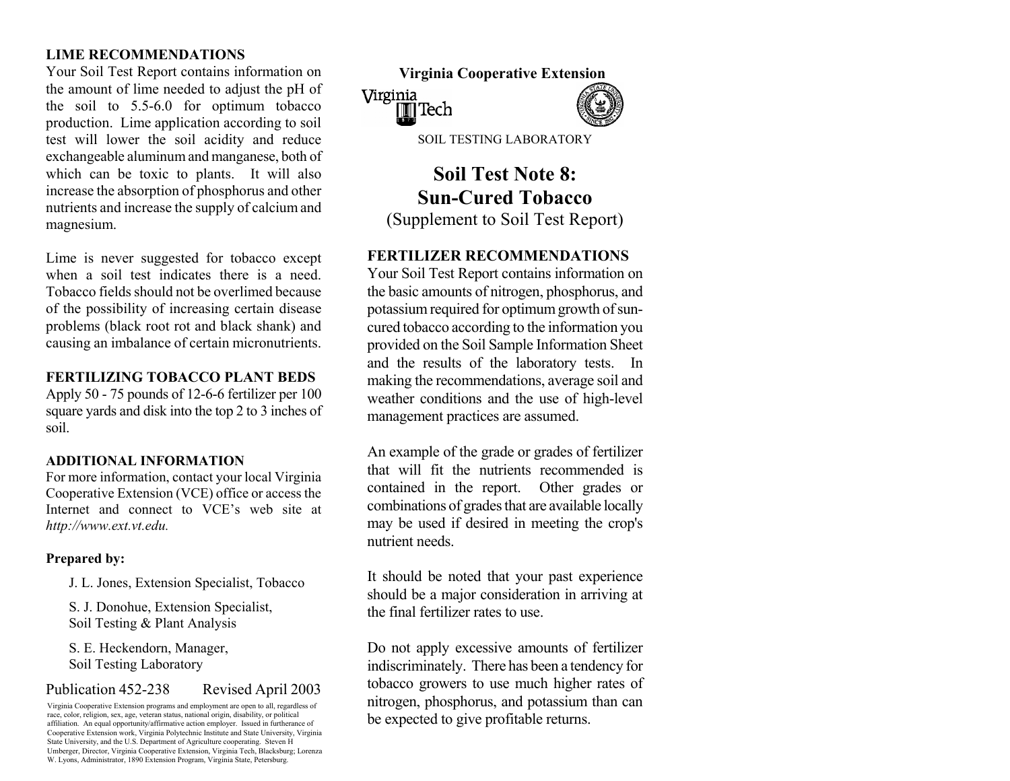# **LIME RECOMMENDATIONS**

Your Soil Test Report contains information on the amount of lime needed to adjust the pH of the soil to 5.5-6.0 for optimum tobacco production. Lime application according to soil test will lower the soil acidity and reduce exchan geable alu min u m and manganese, both of which can be toxic to plants. It will also increase the absorption of phosphorus and other nutrients and increase the supply of calciu ma ndm agnesium.

Lime is never suggested for tobacco except **FERTILIZER RECOMMENDATIONS**  when a soil test indicates there is a need. Tobacco fields should not be overlimed becauseof the possibility of increasing certain disease problems (black root rot and black shank) and causing an imbalance of certain micronutrients.

## **FERTILIZING TOBACCO PLANT BEDS**

Apply 50 - 75 pounds of 12-6-6 fertilizer per 100 square yards and disk into the top 2 to 3 inches of soil.

## **ADDITIONAL INFORMATION**

For m ore information, contact your local Virginia Cooperative Extension (VCE) office or access the Internet and connect to VCE's web site at *http://www.ext.vt.edu.* 

## **Prepared by:**

J. L. Jones, Extension Specialist, Tobacco

S. J. Donohue, Extension Specialist, Soil Testing & Plant Analysis

S. E. Heckendorn, Manager, Soil Testing Laboratory

# Publication 452-238 Revised April 2003

Virginia Cooperative Extension programs and employment are open to all, regardless of race, color, religion, sex, age, veteran status, national origin, disability, or political affiliation. An equal opportunity/affirmative action employer. Issued in furtherance of Cooperative Extension work, Virginia Polytechnic Institute and State University, Virginia State University, and the U.S. Department of Agriculture cooperating. Steven H Umberger, Director, Virginia Cooperative Extension, Virginia Tech, Blacksburg; Lorenza W. Lyons, Administrator, 1890 Extension Program, Virginia State, Petersburg.



SOIL TESTING LABORATORY

# **Soil Test Note 8: Sun-Cured Tobacco** (Supplement to Soil Test Report)

Your Soil Test Report contains information on the basic amounts of nitrogen, phosphorus, and potassium required for optimum growth of suncured tobacco according to the information you provided on the Soil Sample Information Sheet and the results of the laboratory tests. In making the recomm endations, average soil and weather conditions and the use of high-level managem ent practices are assum ed.

An example of the grade or grades of fertilizer that will fit the nutrients recommended is contained in the report. Other grades or combinations of grades that are available locally may be used if desired in m eeting the crop's nutrient needs.

It should be noted that your past experience should be a m ajor consideration in arriving at the final fertilizer rates to use.

Do not apply excessive amounts of fertilizer indiscriminately. There has been a tendency for tobacco growers to use much higher rates of nitrogen, phosphorus, and potassium than can be expected to give profitable returns.